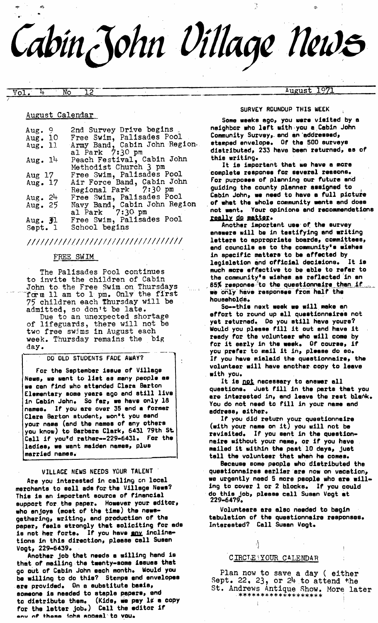Cabin John Village New<del>s</del>

# $\text{Vol.}$  4 No 12  $\text{Nol.}$   $\text{Nol.}$   $\text{Nol.}$   $\text{Nol.}$   $\text{Nol.}$   $\text{Nol.}$   $\text{Nol.}$   $\text{Nol.}$   $\text{Nol.}$   $\text{Nol.}$   $\text{Nol.}$   $\text{Nol.}$   $\text{Nol.}$   $\text{Nol.}$   $\text{Nol.}$   $\text{Nol.}$   $\text{Nol.}$   $\text{Nol.}$   $\text{Nol.}$   $\text{Nol.}$   $\text{$

# August Calendar

| 2nd Survey Drive begins       |
|-------------------------------|
| Free Swim, Palisades Pool     |
| Army Band, Cabin John Region. |
| al Park 7:30 pm               |
| Peach Festival, Cabin John    |
| Methodist Church 3 pm         |
| Free Swim, Palisades Pool     |
| Air Force Band, Cabin John    |
| Regional Park 7:30 pm         |
| Free Swim, Palisades Pool     |
| Navy Band, Cabin John Region  |
| al Park 7:30 pm               |
| Free Swim, Palisades Pool     |
| School begins                 |
|                               |

# *IIIII!1111/11111111IIII!11IIIIIIiil*

## FREE SWIM

The Palisades Pool continues to invite the children of Cabin John to the Free Swim on Thursdays .......... f~m ll am to 1 pm. 0nl~ the first 75 children each Thursday will be admitted, so don't be late.

> Due to an unexpected shortage of lifeguards, there will not be two free swims in August each week. Thursday remains the big day.

#### DO OLD STUDENTS FADE AWAY?

For the September issue of Village News, we want to list as many people as we can find who attended Clara Barton Elementary some years ego end still live in Cabin John. So far, we have only 18 names. If you are over 35 and a former Clara Barton student, won't you send your name (end the names of any others you know) to Barbara Clark, 6431 79th St. Call if you'd rather--229-6431. For the ladies, we want maiden names, plus married names,

#### VILLAGE NEWS NEEDS YOUR TALENT "

Are you interested in calling on local merchants to sell ode fat the Village News? This is an important source of financial support for. the paper. However your editor, who enjoys (most of the time) the newsgathering, writing, end production of the paper, Feels strongly that soliciting for ads is not her forte. If you have any inclinetions in this direction, please cell Susan Voqt, 229-6439.

Another job that needs a willing hand is that of mailing the twenty-some issues that go out.of Cabin John each month. Would you be willing to do this? Stamps and envelopes are provided. On a substitute basis, someone is needed to staple papers, and to distribute them. (Kids, we pay 1¢ a copy for the latter job.) Call the editor if any of **these ichs acceel** to vou.

#### SURVEY ROUNDUP THIS WEEK

*j" ~)* 

Some weeks ego, you were visited by 8 neighbor who left with-you e.Cabtn John Community Survey, and en addressed, stamped envelope. Of the 500 surveys distributed, 233 have been returned, e8 of this writing.

It is important that we have a more complete response for several reasons. For purposes of planning our future end guiding the county planner assigned to Cabin John, we need to have a full picture of whet the whole community wants end does not Int. Your opinions and recommendations really do matter.

Another important use of the survey answers will be in testifying and writing letters to appropriate boards, committees, end councils ee to the communityte wishes in specific matters to be affected by<br>leoisletion and official decisions. It is legislation and official decisions. much mote effective to be able to refer to the community's wishes as reflected in an  $65\%$  response $^{\circ}$ to the questionnaire than if ... we only have responses from half the households. '

So--this next week we will make an effort to round up e11 questionnaires not yet returned. Do you still have yours? Would you please Fill it out end have it reedy for the volunteer who will come by for it early in the week. Of course, if you prefer to mail it in, please do so. IF you have mislaid the questionnaire, the volunteer will have another copy to leave with you.

It is not necessary to answer all questions. Just fill in the parts that you are interested in, and leave the rest black. You do not need to fill in your name and address, either.

If you did return your questionnaire (with your name on it) you will not be revisited. If you sent in the questionneire without your name, or if you have mailed it within the past 10 days, just tell the volunteer that when he comes.

Baceuse some people who distributed the questionnaires earlier are now on vacation, we urgently need 5 more people who ere willing to cover 1 or 2 blocks. If you could do this Job, please cell Susan Vogt at 229-64?9.

Volunteers are e18o needed to begin tabulation of the questionnaire responses. Interested? Call Susan Vogt.

# CIRCLE YOUR CALENDAR

Plan now to save a day ( either Sept. 22, 23, or  $24$  to attend the St. Andrews Antique Show. More later \*\*\*\*\*\*\*\*\*\*\*\*\*\*\*\*\*\*\*\*\*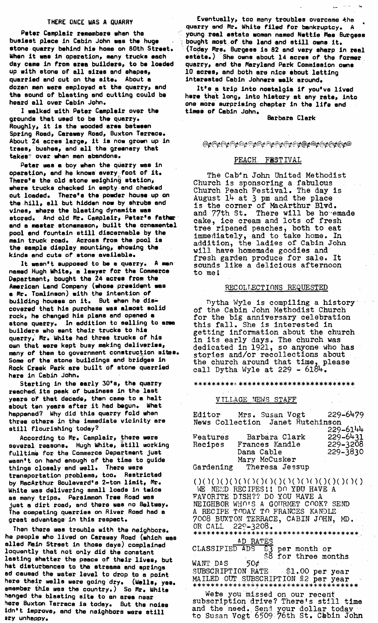#### THERE ONCE WAS A QUARRY

Peter Camplair remembers when the busiest place in Cabin John was the huge stone quarry behind his home on BOth Street. When it was in operation, many trucks each day came in from area builders, to be loaded up aith stone of all sizes end shapes, quarried and cut on the site. About a dozen men mere employed at the quarry, and the sound of blasting and cutting could be heard sll over Cabin John.

I walked with Peter Camplair over the grounds that used to be the quarry. Roughly, it is the wooded eras between Spring Road, Caraway Road, Buxton Terrace. About 24 acres large, it is now grown up in trees, bushes, and all the greenery that takes: over when man abandons.

Peter was a boy when the quarry was in operation, and he knows avery;foot of it. There's the old stone weighing station, where trucks checked in empty end checked out loaded. There's the powder house up on the hill, all but hidden now by shrubs and vines, where the blasting dynamite was stored. And old Mr. Camplair, Peter's father and a master stonemason, built the ornamental pool and Fountain still discernable by the main truck road. Across From the pool is the sample display mounting, showing the kinds and cuts of stone available.

It wasn't supposed to be a quarry. A man named Hugh White, a lawyer for the Commerce Deportment, bought the 24 acres from the American Lend Company (whoso president mes a Mr. Tomlinson) with the intention of buildlng houses on It. But ahen he dlecovered that his purchase was almost solid rock, he changed hie plans and opened a stone quarry. In addition to selling to area builders who sent their trucks to his quarry, Mr. White had three trucks of his own that were kept busy making deliveries, many of them to government construction sites. Some of the stone buildings and bridges in Rock Creek Park are built of stone quarried here in Cabin John.

Starting in the early 50'8, the quarry rsached its peak of business in the last years of that decade, then came to a halt about ten years after it had begun. What **happened? Why did this quarry Fold when**  three others in the immediate vicinity are still flourishing today?

According to Mr. Camplair, there were several reasons. Hugh White, still working Fulltimb for the Commerce Department just wasn't on hand enough of the time to guide things closely and well. There were transportation problems, too. Restrlctad by MacArthur Boulevard's 2-ton limit, Mr. White was delivering small loads in twice as many trips. Persimmon Tree Road mas just a dirt road, end there was no Beltway. The competing quarries on River Road had a great advantage in this respect.

Then there was trouble with the neighbors. he people who lived on Caraway Road (which was elled Main Street in those days) complained loquently that not only did the constant lasting shatter the peace oF their lives, but hat disturbances to the streams and springs ad caused the water level to drop to a point here their wells were golng dry. (Walls, yes. emember this was the country.) So Mr. White hanged the blasting site to an area near here Buxton Terrace t8 today. But the noise idn't improve, and the neighbors were still ary unhappy.

Eventually, too many troubles overcame the quarry and Mr. White filed for bankruptcy. A young real estate woman named Nettie Mae Burgess bought most of the land and still owns it. (Today Mrs. Burgess is 82 and very sharp in real estate.) She owns about 14 acres of the former quarry, and the Maryland Park Commission owns 10 acres, and both are nice about letting interested Cabin Johners walk around.

It's a trip into nostalgia if you've lived hera that long, into history at any rate, Into one more surprising chapter In the life and times of Cabin John,

8erbara Clerk

*@¢@¢@¢@¢@¢@@@@@@@*@*¢@¢@ø@¢@¢@ø@@* 

# PEACH FESTIVAL

The Cabin John United Methodist Church is sponsoring a fabulous Church Peach Festival. The day is August 14 at 3 pm and the place is the corner of MacArthur Blvd. and 77th St. There will be ho'emade cake, ice cream and lots of fresh tree ripened peaches, both to eat immediately, and to take home. In addition, the ladies of Cabin John will have homemade goodies and fresh garden produce for sale. It sounds like a delicious afternoon to me!

#### RECOLTECTIONS REQUESTED

 $D$ ytha Wyle is compiling a history of the Cabin John Methodist Church for the big anniversary celebration this fall. She is interested in getting information about the church in its early days. The church was dedicated in 1921, so anyone who has stories and/or recollections about the church around that time, please call Dytha Wyle at 229 - 618~.

\*\*\*\*\*\*\*\*\*\*\*\*\*\*\*\*\*\*\*\*\*\*\*\*\*\*\*\*\*\*\*\*\*\*

### VILLAGE NEWS STAFF

| Editor    | Mrs. Susan Vogt                  | 229-6479     |
|-----------|----------------------------------|--------------|
|           | News Collection Janet Hutchinson |              |
|           |                                  | 229-6144     |
| Features  | Barbara Clark                    | $229 - 6431$ |
| Recipes   | Frances Kandle                   | 229-3208     |
|           | Dana Cable                       | $229 - 3830$ |
|           | Mary McCusker                    |              |
| Gardening | Theresa Jessup                   |              |

 $( )()()()()()()()()()()()()()()()()()()() 0()$ WE NEED RECIPES !! DO YBU HAVE A FAVORITE DISH?? DO YOU HAVE A NEIGHBOR WHO'S A GOURMET COOK? SEND A RECIPE TODAY TO FRANCES KANDLE 7008 BUXTON TERRACE, CABIN JOHN, MD.<br>OR CALL 229-3208. OR CALL 22o-3208 . AD RATES<br>ADS \$3<br>\$8 CLASSIFIED ADS \$3 per month or for three months. WANT DAS  $50¢$ <br>SUBSCRIPTION RATE

\$1.00 per year MAILED OUT,SUBSCRIPTION ~',2 per year

Were you mlssed on our recent subscription drive? There' s still time and the need. Send your dollar today  $\blacksquare$ to Susan Vogt 6509 76th St. Cabin John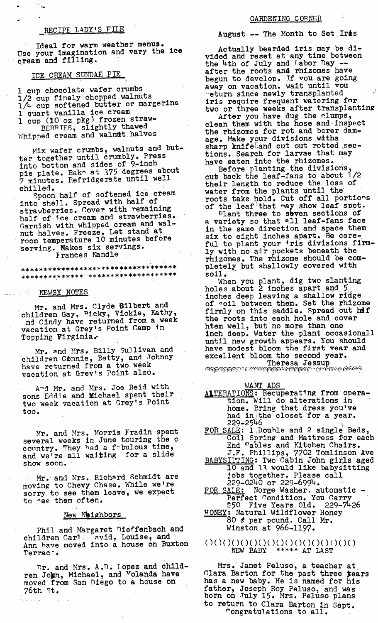# RECIPE LADY'S FILE

Ideal for warm weather menus. Use your imagination and vary the ice cream and filling.

ICE CREAM SUNDAE PIE

1 cup chocolate wafer crumbs 1/2 cup finely chopped walnuts 1/% cup softened butter or margerine I cuart vanilla ice cream 1 cup (10 oz pkg) frozen straw- $_{\rm BERTES,~slightly~thawed}$ Whipped cream and walnut halves

Mix wafer crumbs, walnuts\_and butter together until crumbly. Press into bottom and sides of 9-inch pie plate. Bake at 375 degrees about 7 minutes. Refridgerate until well chilled.

Spoon half of softened ice cream into shell. Spread with half of strawberries. Cover with remaining half of ice cream and strawberries. Garnish with whipped cream and walnut halves. Freeze. Let stand at room temperature I0 minutes before serving. Makes six servings. Frances Kandle

\*\*\*\*\*\*\*\*\*\*\*\*\*\*\*\*\*\*\*\*\*\*\*\*\*\*\*\*\*\*\*\*\*\*\*\*\* \*\*\*\*\*\*\*\*\*\*\*\*\*\* \*\*\*\*\*\*\*\*\*\*\*\*\*\*\*\*\*\*\*\*\*\*\*

#### NEWSY NOTES

Mr. and Mrs. Clyde Bilbert and children Gay~ =icky, Vickie, Kathy, nd Cindy have returned from a week vacation at Grey's Point Camp in Topping  $Virginia.$ 

Mr. and Mrs. Billy Sullivan and children Connie, Betty, and Johnny have returned from a two week vacation at Grey's Point also.

A-d Mr. and Mrs. Joe Reid with sons Eddie and Michael spent their two week vacation at Grey's Point too.

Mr. and Mrs. Norris Fradin spent several weeks in June touring the c country. They had a fobulous time, and we're all waiting for a slide show soon.

Mr. and Mrs. Richard Schmidt are moving to Chevy Chase. While we're sorry to see them leave, we expect to -ee them often.

## New Neighbors

Phil and Margaret Dieffenbach and children Carl ( avid, Louise, and Ann have moved into a house on Buxton Terrac .

Dr. and Mrs. A.D. Lopez and children John, Michael, and Volanda have moved from San Diego to a house on  $76th$   $st.$ 

 $\mathcal{L}_\text{c}$  ,  $\mathcal{L}_\text{c}$  ,  $\mathcal{L}_\text{c}$ 

August -- The Month to Set Ires

Actually bearded iris may be divided and reset at any time between the 4th of July and Labor Day  $$ after the roots and rhizomes have begun to develop. If you are going away on vacation, wait until you -eturn since newly transplanted iris require frequent watering for two or three weeks after transplanting

After you have dug the clumps, clean them with the hose and-inspect the rhizomes for rot and borer damage. Make your divisions witha sharp knife and cut out rotted sections. Search for larvae that may have eaten into the rhizomes.

Before planting the divisionS, cut back the leaf-fans to about  $1/2$ their length to reduce the loss of water from the plants until the roots take hold. Cut off all portions of the leaf that may show leaf spot.

Plant three to seven sections of a variety so that all leaf-fans face in the same direction and space them six to eight inches apart. Be careful to plant your 'ris divisions firmly with no air pockets beneath the rhizomes. The rhizome should be completely but shallowly covered with soil.

When you plant, dig two slanting holes about 2 inches apart and 5 inches deep leaving a shallow ridge of coil between them. Set the rhizome firmly on this saddle. Spread out haf the roots into each hole and cover htem well, but no more than one inch deep. Water the plant occasionall until new growth appears. You should have modest bloom the first year and excellent bloom the second year.

Theresa Jessup<br>'କ୍ଷଦସନ୍ତେନ୍ନ'''ସେନ୍ଦ୍ରମ୍ୟକ୍ରମନ୍ତ୍ରମେ ''ସେମ୍ବିଜନ୍ନ'''

# WANT ADS

- ALTERATIONS: Recuperating from operation. Will do alterations in home. Bring that dress you've had in $_{\mathbb{I}}$ the closet for a year. 229–2546
- FOR SALE: 1 Double and 2 single Beds, Coil Spring and Mattress for each End mables and Kitchen Chairs. J.F. Phillips, 7702 Tomlinson Ave
- $\overline{\text{BABXSITTING}}\colon$  Two Cabin John girls aged lO and lq would llke babysitting Jobs together. Please call 229-0240 or 229-6994. "
- FOR SALE: Norge Washer. automatic Perfect Condition. You Carry .
- ~50 Five Years 01d. 229-7426  ${\tt HONEY:}$  Natural Wildflower Honey 80  $\ell$  per pound. Call Mr. Winston at 966-1197.
- **()(3(3(3(3(3(3(3(3(3(3(3()(3(3(3()**  NEW BABY \*\*\*\*\* AT LAST

Mrs. Janet Peluso, a teacher at  $C$ lara Barton for the past three  $_{\text{years}}$ has a new baby. He Is named for his father, Joseph Roy PAluso, and was born on Xuly 15. Mrs. Peluso plans to return to Clara Barton in Sept. ~ongratu]ations to all.